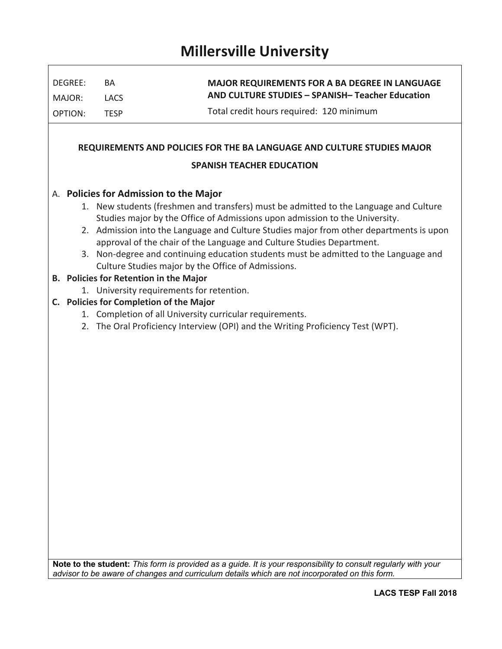## **Millersville University**

| DEGREE:                                                                                                     | BA                                      | <b>MAJOR REQUIREMENTS FOR A BA DEGREE IN LANGUAGE</b><br>AND CULTURE STUDIES - SPANISH-Teacher Education                                                                                                          |  |  |  |  |  |  |  |
|-------------------------------------------------------------------------------------------------------------|-----------------------------------------|-------------------------------------------------------------------------------------------------------------------------------------------------------------------------------------------------------------------|--|--|--|--|--|--|--|
| MAJOR:<br><b>OPTION:</b>                                                                                    | <b>LACS</b><br><b>TESP</b>              | Total credit hours required: 120 minimum                                                                                                                                                                          |  |  |  |  |  |  |  |
|                                                                                                             |                                         |                                                                                                                                                                                                                   |  |  |  |  |  |  |  |
|                                                                                                             |                                         |                                                                                                                                                                                                                   |  |  |  |  |  |  |  |
| REQUIREMENTS AND POLICIES FOR THE BA LANGUAGE AND CULTURE STUDIES MAJOR<br><b>SPANISH TEACHER EDUCATION</b> |                                         |                                                                                                                                                                                                                   |  |  |  |  |  |  |  |
|                                                                                                             |                                         |                                                                                                                                                                                                                   |  |  |  |  |  |  |  |
|                                                                                                             |                                         | 1. New students (freshmen and transfers) must be admitted to the Language and Culture                                                                                                                             |  |  |  |  |  |  |  |
|                                                                                                             |                                         | Studies major by the Office of Admissions upon admission to the University.                                                                                                                                       |  |  |  |  |  |  |  |
|                                                                                                             |                                         | 2. Admission into the Language and Culture Studies major from other departments is upon                                                                                                                           |  |  |  |  |  |  |  |
|                                                                                                             |                                         | approval of the chair of the Language and Culture Studies Department.<br>3. Non-degree and continuing education students must be admitted to the Language and                                                     |  |  |  |  |  |  |  |
|                                                                                                             |                                         | Culture Studies major by the Office of Admissions.                                                                                                                                                                |  |  |  |  |  |  |  |
|                                                                                                             | B. Policies for Retention in the Major  |                                                                                                                                                                                                                   |  |  |  |  |  |  |  |
|                                                                                                             |                                         | 1. University requirements for retention.                                                                                                                                                                         |  |  |  |  |  |  |  |
|                                                                                                             | C. Policies for Completion of the Major |                                                                                                                                                                                                                   |  |  |  |  |  |  |  |
|                                                                                                             |                                         | 1. Completion of all University curricular requirements.                                                                                                                                                          |  |  |  |  |  |  |  |
|                                                                                                             |                                         | 2. The Oral Proficiency Interview (OPI) and the Writing Proficiency Test (WPT).                                                                                                                                   |  |  |  |  |  |  |  |
|                                                                                                             |                                         |                                                                                                                                                                                                                   |  |  |  |  |  |  |  |
|                                                                                                             |                                         |                                                                                                                                                                                                                   |  |  |  |  |  |  |  |
|                                                                                                             |                                         |                                                                                                                                                                                                                   |  |  |  |  |  |  |  |
|                                                                                                             |                                         |                                                                                                                                                                                                                   |  |  |  |  |  |  |  |
|                                                                                                             |                                         |                                                                                                                                                                                                                   |  |  |  |  |  |  |  |
|                                                                                                             |                                         |                                                                                                                                                                                                                   |  |  |  |  |  |  |  |
|                                                                                                             |                                         |                                                                                                                                                                                                                   |  |  |  |  |  |  |  |
|                                                                                                             |                                         |                                                                                                                                                                                                                   |  |  |  |  |  |  |  |
|                                                                                                             |                                         |                                                                                                                                                                                                                   |  |  |  |  |  |  |  |
|                                                                                                             |                                         |                                                                                                                                                                                                                   |  |  |  |  |  |  |  |
|                                                                                                             |                                         |                                                                                                                                                                                                                   |  |  |  |  |  |  |  |
|                                                                                                             |                                         |                                                                                                                                                                                                                   |  |  |  |  |  |  |  |
|                                                                                                             |                                         |                                                                                                                                                                                                                   |  |  |  |  |  |  |  |
|                                                                                                             |                                         |                                                                                                                                                                                                                   |  |  |  |  |  |  |  |
|                                                                                                             |                                         |                                                                                                                                                                                                                   |  |  |  |  |  |  |  |
|                                                                                                             |                                         |                                                                                                                                                                                                                   |  |  |  |  |  |  |  |
|                                                                                                             |                                         |                                                                                                                                                                                                                   |  |  |  |  |  |  |  |
|                                                                                                             |                                         |                                                                                                                                                                                                                   |  |  |  |  |  |  |  |
|                                                                                                             |                                         |                                                                                                                                                                                                                   |  |  |  |  |  |  |  |
|                                                                                                             |                                         | Note to the student: This form is provided as a guide. It is your responsibility to consult regularly with your<br>advisor to be aware of changes and curriculum details which are not incorporated on this form. |  |  |  |  |  |  |  |